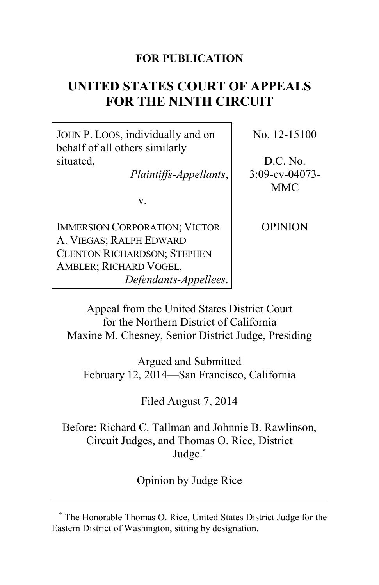# **FOR PUBLICATION**

# **UNITED STATES COURT OF APPEALS FOR THE NINTH CIRCUIT**

JOHN P. LOOS, individually and on behalf of all others similarly situated,

*Plaintiffs-Appellants*,

v.

IMMERSION CORPORATION; VICTOR A. VIEGAS; RALPH EDWARD CLENTON RICHARDSON; STEPHEN AMBLER; RICHARD VOGEL, *Defendants-Appellees*. No. 12-15100

D.C. No. 3:09-cv-04073- MMC

**OPINION** 

Appeal from the United States District Court for the Northern District of California Maxine M. Chesney, Senior District Judge, Presiding

Argued and Submitted February 12, 2014—San Francisco, California

Filed August 7, 2014

Before: Richard C. Tallman and Johnnie B. Rawlinson, Circuit Judges, and Thomas O. Rice, District Judge.**\***

Opinion by Judge Rice

**<sup>\*</sup>** The Honorable Thomas O. Rice, United States District Judge for the Eastern District of Washington, sitting by designation.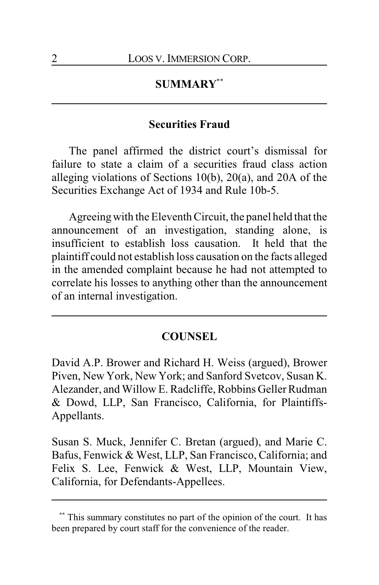# **SUMMARY\*\***

# **Securities Fraud**

The panel affirmed the district court's dismissal for failure to state a claim of a securities fraud class action alleging violations of Sections 10(b), 20(a), and 20A of the Securities Exchange Act of 1934 and Rule 10b-5.

Agreeingwith the Eleventh Circuit, the panel held that the announcement of an investigation, standing alone, is insufficient to establish loss causation. It held that the plaintiff could not establish loss causation on the facts alleged in the amended complaint because he had not attempted to correlate his losses to anything other than the announcement of an internal investigation.

#### **COUNSEL**

David A.P. Brower and Richard H. Weiss (argued), Brower Piven, New York, New York; and Sanford Svetcov, Susan K. Alezander, and Willow E. Radcliffe, Robbins Geller Rudman & Dowd, LLP, San Francisco, California, for Plaintiffs-Appellants.

Susan S. Muck, Jennifer C. Bretan (argued), and Marie C. Bafus, Fenwick & West, LLP, San Francisco, California; and Felix S. Lee, Fenwick & West, LLP, Mountain View, California, for Defendants-Appellees.

This summary constitutes no part of the opinion of the court. It has been prepared by court staff for the convenience of the reader.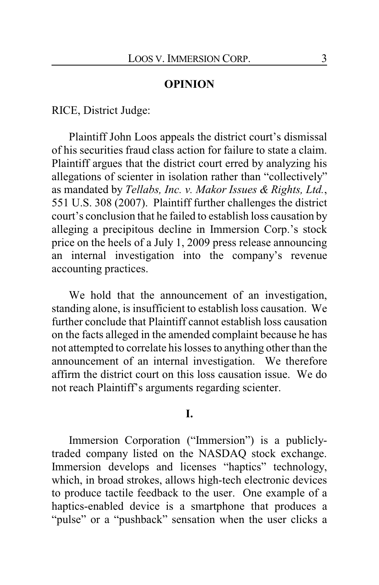# **OPINION**

RICE, District Judge:

Plaintiff John Loos appeals the district court's dismissal of his securities fraud class action for failure to state a claim. Plaintiff argues that the district court erred by analyzing his allegations of scienter in isolation rather than "collectively" as mandated by *Tellabs, Inc. v. Makor Issues & Rights, Ltd.*, 551 U.S. 308 (2007). Plaintiff further challenges the district court's conclusion that he failed to establish loss causation by alleging a precipitous decline in Immersion Corp.'s stock price on the heels of a July 1, 2009 press release announcing an internal investigation into the company's revenue accounting practices.

We hold that the announcement of an investigation, standing alone, is insufficient to establish loss causation. We further conclude that Plaintiff cannot establish loss causation on the facts alleged in the amended complaint because he has not attempted to correlate his losses to anything other than the announcement of an internal investigation. We therefore affirm the district court on this loss causation issue. We do not reach Plaintiff's arguments regarding scienter.

# **I.**

Immersion Corporation ("Immersion") is a publiclytraded company listed on the NASDAQ stock exchange. Immersion develops and licenses "haptics" technology, which, in broad strokes, allows high-tech electronic devices to produce tactile feedback to the user. One example of a haptics-enabled device is a smartphone that produces a "pulse" or a "pushback" sensation when the user clicks a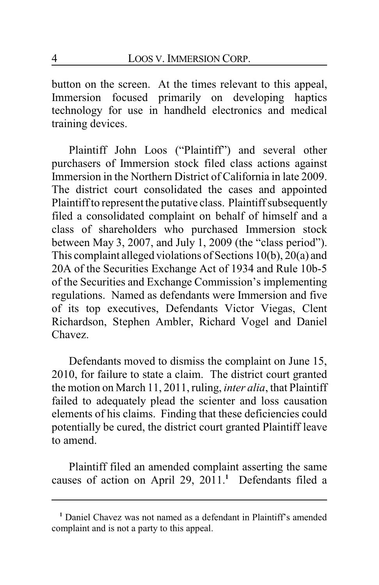button on the screen. At the times relevant to this appeal, Immersion focused primarily on developing haptics technology for use in handheld electronics and medical training devices.

Plaintiff John Loos ("Plaintiff") and several other purchasers of Immersion stock filed class actions against Immersion in the Northern District of California in late 2009. The district court consolidated the cases and appointed Plaintiff to represent the putative class. Plaintiff subsequently filed a consolidated complaint on behalf of himself and a class of shareholders who purchased Immersion stock between May 3, 2007, and July 1, 2009 (the "class period"). This complaint alleged violations of Sections 10(b), 20(a) and 20A of the Securities Exchange Act of 1934 and Rule 10b-5 of the Securities and Exchange Commission's implementing regulations. Named as defendants were Immersion and five of its top executives, Defendants Victor Viegas, Clent Richardson, Stephen Ambler, Richard Vogel and Daniel Chavez.

Defendants moved to dismiss the complaint on June 15, 2010, for failure to state a claim. The district court granted the motion on March 11, 2011, ruling, *inter alia*, that Plaintiff failed to adequately plead the scienter and loss causation elements of his claims. Finding that these deficiencies could potentially be cured, the district court granted Plaintiff leave to amend.

Plaintiff filed an amended complaint asserting the same causes of action on April 29, 2011.**<sup>1</sup>** Defendants filed a

**<sup>1</sup>** Daniel Chavez was not named as a defendant in Plaintiff's amended complaint and is not a party to this appeal.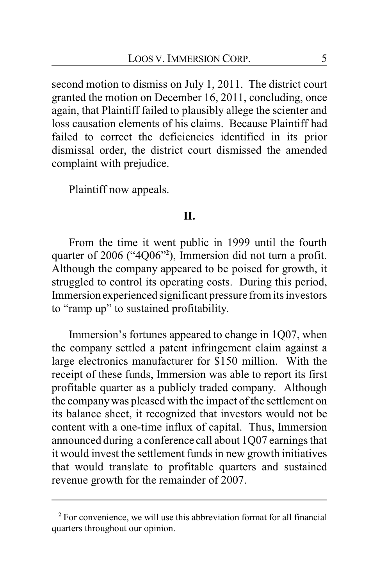second motion to dismiss on July 1, 2011. The district court granted the motion on December 16, 2011, concluding, once again, that Plaintiff failed to plausibly allege the scienter and loss causation elements of his claims. Because Plaintiff had failed to correct the deficiencies identified in its prior dismissal order, the district court dismissed the amended complaint with prejudice.

Plaintiff now appeals.

# **II.**

From the time it went public in 1999 until the fourth quarter of 2006 ("4Q06"**<sup>2</sup>** ), Immersion did not turn a profit. Although the company appeared to be poised for growth, it struggled to control its operating costs. During this period, Immersion experienced significant pressure from its investors to "ramp up" to sustained profitability.

Immersion's fortunes appeared to change in 1Q07, when the company settled a patent infringement claim against a large electronics manufacturer for \$150 million. With the receipt of these funds, Immersion was able to report its first profitable quarter as a publicly traded company. Although the companywas pleased with the impact of the settlement on its balance sheet, it recognized that investors would not be content with a one-time influx of capital. Thus, Immersion announced during a conference call about 1Q07 earnings that it would invest the settlement funds in new growth initiatives that would translate to profitable quarters and sustained revenue growth for the remainder of 2007.

**<sup>2</sup>** For convenience, we will use this abbreviation format for all financial quarters throughout our opinion.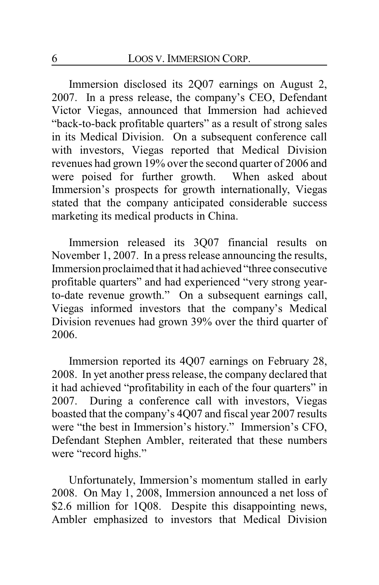Immersion disclosed its 2Q07 earnings on August 2, 2007. In a press release, the company's CEO, Defendant Victor Viegas, announced that Immersion had achieved "back-to-back profitable quarters" as a result of strong sales in its Medical Division. On a subsequent conference call with investors, Viegas reported that Medical Division revenues had grown 19% over the second quarter of 2006 and were poised for further growth. When asked about Immersion's prospects for growth internationally, Viegas stated that the company anticipated considerable success marketing its medical products in China.

Immersion released its 3Q07 financial results on November 1, 2007. In a press release announcing the results, Immersion proclaimed that it had achieved "three consecutive profitable quarters" and had experienced "very strong yearto-date revenue growth." On a subsequent earnings call, Viegas informed investors that the company's Medical Division revenues had grown 39% over the third quarter of 2006.

Immersion reported its 4Q07 earnings on February 28, 2008. In yet another press release, the company declared that it had achieved "profitability in each of the four quarters" in 2007. During a conference call with investors, Viegas boasted that the company's 4Q07 and fiscal year 2007 results were "the best in Immersion's history." Immersion's CFO, Defendant Stephen Ambler, reiterated that these numbers were "record highs."

Unfortunately, Immersion's momentum stalled in early 2008. On May 1, 2008, Immersion announced a net loss of \$2.6 million for 1Q08. Despite this disappointing news, Ambler emphasized to investors that Medical Division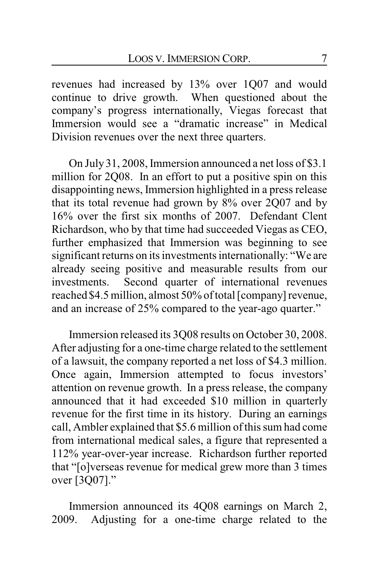revenues had increased by 13% over 1Q07 and would continue to drive growth. When questioned about the company's progress internationally, Viegas forecast that Immersion would see a "dramatic increase" in Medical Division revenues over the next three quarters.

On July 31, 2008, Immersion announced a net loss of \$3.1 million for 2Q08. In an effort to put a positive spin on this disappointing news, Immersion highlighted in a press release that its total revenue had grown by 8% over 2Q07 and by 16% over the first six months of 2007. Defendant Clent Richardson, who by that time had succeeded Viegas as CEO, further emphasized that Immersion was beginning to see significant returns on its investments internationally: "We are already seeing positive and measurable results from our investments. Second quarter of international revenues reached \$4.5 million, almost 50% of total [company]revenue, and an increase of 25% compared to the year-ago quarter."

Immersion released its 3Q08 results on October 30, 2008. After adjusting for a one-time charge related to the settlement of a lawsuit, the company reported a net loss of \$4.3 million. Once again, Immersion attempted to focus investors' attention on revenue growth. In a press release, the company announced that it had exceeded \$10 million in quarterly revenue for the first time in its history. During an earnings call, Ambler explained that \$5.6 million of this sum had come from international medical sales, a figure that represented a 112% year-over-year increase. Richardson further reported that "[o]verseas revenue for medical grew more than 3 times over [3Q07]."

Immersion announced its 4Q08 earnings on March 2, 2009. Adjusting for a one-time charge related to the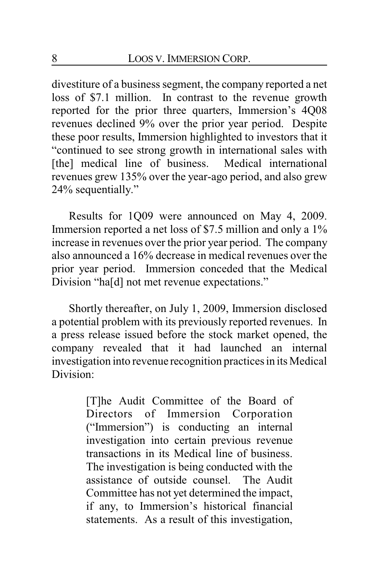divestiture of a business segment, the company reported a net loss of \$7.1 million. In contrast to the revenue growth reported for the prior three quarters, Immersion's 4Q08 revenues declined 9% over the prior year period. Despite these poor results, Immersion highlighted to investors that it "continued to see strong growth in international sales with [the] medical line of business. Medical international revenues grew 135% over the year-ago period, and also grew 24% sequentially."

Results for 1Q09 were announced on May 4, 2009. Immersion reported a net loss of \$7.5 million and only a 1% increase in revenues over the prior year period. The company also announced a 16% decrease in medical revenues over the prior year period. Immersion conceded that the Medical Division "ha[d] not met revenue expectations."

Shortly thereafter, on July 1, 2009, Immersion disclosed a potential problem with its previously reported revenues. In a press release issued before the stock market opened, the company revealed that it had launched an internal investigation into revenue recognition practices in its Medical Division:

> [T]he Audit Committee of the Board of Directors of Immersion Corporation ("Immersion") is conducting an internal investigation into certain previous revenue transactions in its Medical line of business. The investigation is being conducted with the assistance of outside counsel. The Audit Committee has not yet determined the impact, if any, to Immersion's historical financial statements. As a result of this investigation,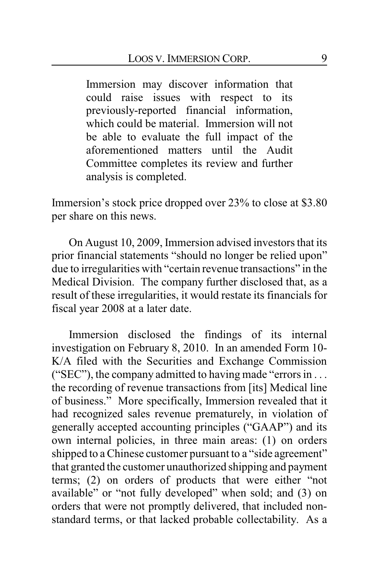Immersion may discover information that could raise issues with respect to its previously-reported financial information, which could be material. Immersion will not be able to evaluate the full impact of the aforementioned matters until the Audit Committee completes its review and further analysis is completed.

Immersion's stock price dropped over 23% to close at \$3.80 per share on this news.

On August 10, 2009, Immersion advised investors that its prior financial statements "should no longer be relied upon" due to irregularities with "certain revenue transactions" in the Medical Division. The company further disclosed that, as a result of these irregularities, it would restate its financials for fiscal year 2008 at a later date.

Immersion disclosed the findings of its internal investigation on February 8, 2010. In an amended Form 10- K/A filed with the Securities and Exchange Commission ("SEC"), the company admitted to having made "errors in . . . the recording of revenue transactions from [its] Medical line of business." More specifically, Immersion revealed that it had recognized sales revenue prematurely, in violation of generally accepted accounting principles ("GAAP") and its own internal policies, in three main areas: (1) on orders shipped to a Chinese customer pursuant to a "side agreement" that granted the customer unauthorized shipping and payment terms; (2) on orders of products that were either "not available" or "not fully developed" when sold; and (3) on orders that were not promptly delivered, that included nonstandard terms, or that lacked probable collectability. As a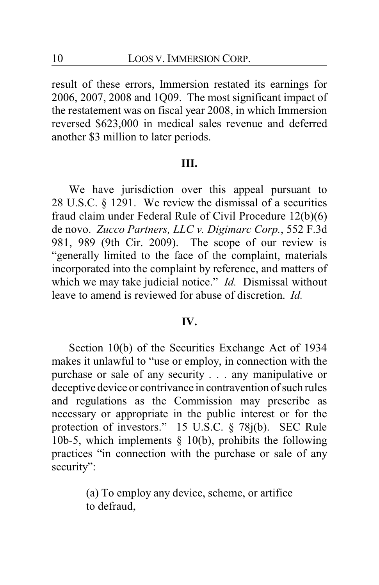result of these errors, Immersion restated its earnings for 2006, 2007, 2008 and 1Q09. The most significant impact of the restatement was on fiscal year 2008, in which Immersion reversed \$623,000 in medical sales revenue and deferred another \$3 million to later periods.

### **III.**

We have jurisdiction over this appeal pursuant to 28 U.S.C. § 1291. We review the dismissal of a securities fraud claim under Federal Rule of Civil Procedure 12(b)(6) de novo. *Zucco Partners, LLC v. Digimarc Corp.*, 552 F.3d 981, 989 (9th Cir. 2009). The scope of our review is "generally limited to the face of the complaint, materials incorporated into the complaint by reference, and matters of which we may take judicial notice." *Id.* Dismissal without leave to amend is reviewed for abuse of discretion. *Id.*

#### **IV.**

Section 10(b) of the Securities Exchange Act of 1934 makes it unlawful to "use or employ, in connection with the purchase or sale of any security . . . any manipulative or deceptive device or contrivance in contravention of such rules and regulations as the Commission may prescribe as necessary or appropriate in the public interest or for the protection of investors." 15 U.S.C. § 78j(b). SEC Rule 10b-5, which implements  $\S$  10(b), prohibits the following practices "in connection with the purchase or sale of any security":

> (a) To employ any device, scheme, or artifice to defraud,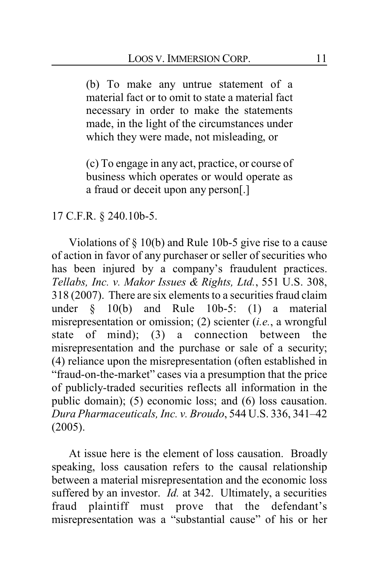(b) To make any untrue statement of a material fact or to omit to state a material fact necessary in order to make the statements made, in the light of the circumstances under which they were made, not misleading, or

(c) To engage in any act, practice, or course of business which operates or would operate as a fraud or deceit upon any person[.]

# 17 C.F.R. § 240.10b-5.

Violations of § 10(b) and Rule 10b-5 give rise to a cause of action in favor of any purchaser or seller of securities who has been injured by a company's fraudulent practices. *Tellabs, Inc. v. Makor Issues & Rights, Ltd.*, 551 U.S. 308, 318 (2007). There are six elements to a securities fraud claim under § 10(b) and Rule 10b-5: (1) a material misrepresentation or omission; (2) scienter (*i.e.*, a wrongful state of mind); (3) a connection between the misrepresentation and the purchase or sale of a security; (4) reliance upon the misrepresentation (often established in "fraud-on-the-market" cases via a presumption that the price of publicly-traded securities reflects all information in the public domain); (5) economic loss; and (6) loss causation. *Dura Pharmaceuticals, Inc. v. Broudo*, 544 U.S. 336, 341–42 (2005).

At issue here is the element of loss causation. Broadly speaking, loss causation refers to the causal relationship between a material misrepresentation and the economic loss suffered by an investor. *Id.* at 342. Ultimately, a securities fraud plaintiff must prove that the defendant's misrepresentation was a "substantial cause" of his or her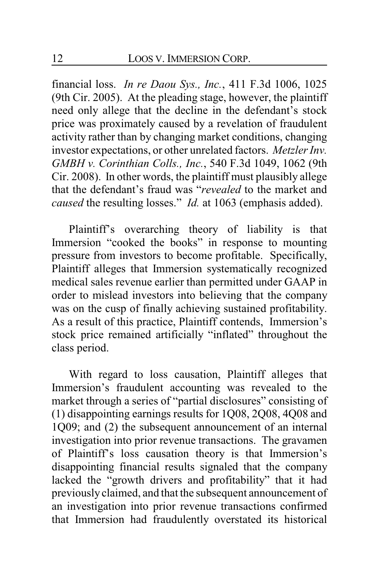financial loss. *In re Daou Sys., Inc.*, 411 F.3d 1006, 1025 (9th Cir. 2005). At the pleading stage, however, the plaintiff need only allege that the decline in the defendant's stock price was proximately caused by a revelation of fraudulent activity rather than by changing market conditions, changing investor expectations, or other unrelated factors. *Metzler Inv. GMBH v. Corinthian Colls., Inc.*, 540 F.3d 1049, 1062 (9th Cir. 2008). In other words, the plaintiff must plausibly allege that the defendant's fraud was "*revealed* to the market and *caused* the resulting losses." *Id.* at 1063 (emphasis added).

Plaintiff's overarching theory of liability is that Immersion "cooked the books" in response to mounting pressure from investors to become profitable. Specifically, Plaintiff alleges that Immersion systematically recognized medical sales revenue earlier than permitted under GAAP in order to mislead investors into believing that the company was on the cusp of finally achieving sustained profitability. As a result of this practice, Plaintiff contends, Immersion's stock price remained artificially "inflated" throughout the class period.

With regard to loss causation, Plaintiff alleges that Immersion's fraudulent accounting was revealed to the market through a series of "partial disclosures" consisting of (1) disappointing earnings results for 1Q08, 2Q08, 4Q08 and 1Q09; and (2) the subsequent announcement of an internal investigation into prior revenue transactions. The gravamen of Plaintiff's loss causation theory is that Immersion's disappointing financial results signaled that the company lacked the "growth drivers and profitability" that it had previously claimed, and that the subsequent announcement of an investigation into prior revenue transactions confirmed that Immersion had fraudulently overstated its historical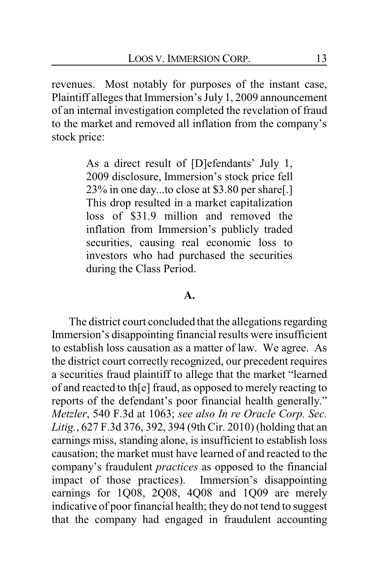revenues. Most notably for purposes of the instant case, Plaintiff alleges that Immersion's July 1, 2009 announcement of an internal investigation completed the revelation of fraud to the market and removed all inflation from the company's stock price:

> As a direct result of [D]efendants' July 1, 2009 disclosure, Immersion's stock price fell 23% in one day...to close at \$3.80 per share[.] This drop resulted in a market capitalization loss of \$31.9 million and removed the inflation from Immersion's publicly traded securities, causing real economic loss to investors who had purchased the securities during the Class Period.

### **A.**

The district court concluded that the allegations regarding Immersion's disappointing financial results were insufficient to establish loss causation as a matter of law. We agree. As the district court correctly recognized, our precedent requires a securities fraud plaintiff to allege that the market "learned of and reacted to th[e] fraud, as opposed to merely reacting to reports of the defendant's poor financial health generally." *Metzler*, 540 F.3d at 1063; *see also In re Oracle Corp. Sec. Litig.*, 627 F.3d 376, 392, 394 (9th Cir. 2010) (holding that an earnings miss, standing alone, is insufficient to establish loss causation; the market must have learned of and reacted to the company's fraudulent *practices* as opposed to the financial impact of those practices). Immersion's disappointing earnings for 1Q08, 2Q08, 4Q08 and 1Q09 are merely indicative of poor financial health; they do not tend to suggest that the company had engaged in fraudulent accounting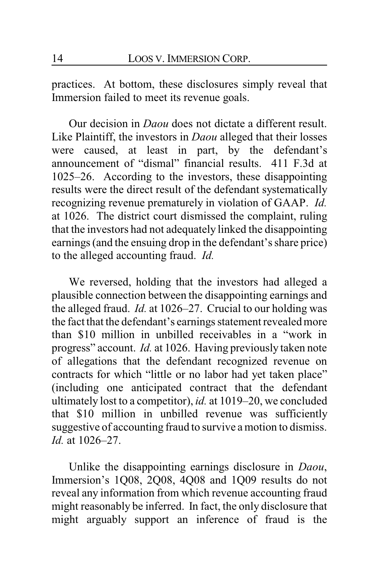practices. At bottom, these disclosures simply reveal that Immersion failed to meet its revenue goals.

Our decision in *Daou* does not dictate a different result. Like Plaintiff, the investors in *Daou* alleged that their losses were caused, at least in part, by the defendant's announcement of "dismal" financial results. 411 F.3d at 1025–26. According to the investors, these disappointing results were the direct result of the defendant systematically recognizing revenue prematurely in violation of GAAP. *Id.* at 1026. The district court dismissed the complaint, ruling that the investors had not adequately linked the disappointing earnings (and the ensuing drop in the defendant's share price) to the alleged accounting fraud. *Id.*

We reversed, holding that the investors had alleged a plausible connection between the disappointing earnings and the alleged fraud. *Id.* at 1026–27. Crucial to our holding was the fact that the defendant's earnings statement revealed more than \$10 million in unbilled receivables in a "work in progress" account. *Id.* at 1026. Having previously taken note of allegations that the defendant recognized revenue on contracts for which "little or no labor had yet taken place" (including one anticipated contract that the defendant ultimately lost to a competitor), *id.* at 1019–20, we concluded that \$10 million in unbilled revenue was sufficiently suggestive of accounting fraud to survive a motion to dismiss. *Id.* at 1026–27.

Unlike the disappointing earnings disclosure in *Daou*, Immersion's 1Q08, 2Q08, 4Q08 and 1Q09 results do not reveal any information from which revenue accounting fraud might reasonably be inferred. In fact, the only disclosure that might arguably support an inference of fraud is the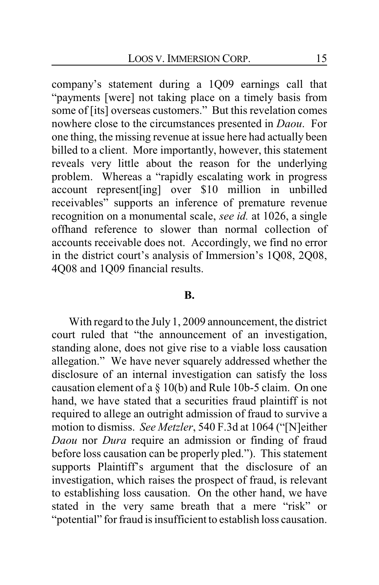company's statement during a 1Q09 earnings call that "payments [were] not taking place on a timely basis from some of [its] overseas customers." But this revelation comes nowhere close to the circumstances presented in *Daou*. For one thing, the missing revenue at issue here had actually been billed to a client. More importantly, however, this statement reveals very little about the reason for the underlying problem. Whereas a "rapidly escalating work in progress account represent[ing] over \$10 million in unbilled receivables" supports an inference of premature revenue recognition on a monumental scale, *see id.* at 1026, a single offhand reference to slower than normal collection of accounts receivable does not. Accordingly, we find no error in the district court's analysis of Immersion's 1Q08, 2Q08, 4Q08 and 1Q09 financial results.

### **B.**

With regard to the July 1, 2009 announcement, the district court ruled that "the announcement of an investigation, standing alone, does not give rise to a viable loss causation allegation." We have never squarely addressed whether the disclosure of an internal investigation can satisfy the loss causation element of a § 10(b) and Rule 10b-5 claim. On one hand, we have stated that a securities fraud plaintiff is not required to allege an outright admission of fraud to survive a motion to dismiss. *See Metzler*, 540 F.3d at 1064 ("[N]either *Daou* nor *Dura* require an admission or finding of fraud before loss causation can be properly pled."). This statement supports Plaintiff's argument that the disclosure of an investigation, which raises the prospect of fraud, is relevant to establishing loss causation. On the other hand, we have stated in the very same breath that a mere "risk" or "potential" for fraud is insufficient to establish loss causation.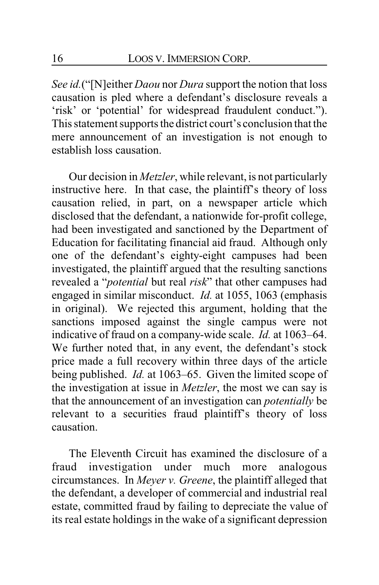*See id.*("[N]either *Daou* nor *Dura* support the notion that loss causation is pled where a defendant's disclosure reveals a 'risk' or 'potential' for widespread fraudulent conduct."). This statement supports the district court's conclusion that the mere announcement of an investigation is not enough to establish loss causation.

Our decision in *Metzler*, while relevant, is not particularly instructive here. In that case, the plaintiff's theory of loss causation relied, in part, on a newspaper article which disclosed that the defendant, a nationwide for-profit college, had been investigated and sanctioned by the Department of Education for facilitating financial aid fraud. Although only one of the defendant's eighty-eight campuses had been investigated, the plaintiff argued that the resulting sanctions revealed a "*potential* but real *risk*" that other campuses had engaged in similar misconduct. *Id.* at 1055, 1063 (emphasis in original). We rejected this argument, holding that the sanctions imposed against the single campus were not indicative of fraud on a company-wide scale. *Id.* at 1063–64. We further noted that, in any event, the defendant's stock price made a full recovery within three days of the article being published. *Id.* at 1063–65. Given the limited scope of the investigation at issue in *Metzler*, the most we can say is that the announcement of an investigation can *potentially* be relevant to a securities fraud plaintiff's theory of loss causation.

The Eleventh Circuit has examined the disclosure of a fraud investigation under much more analogous circumstances. In *Meyer v. Greene*, the plaintiff alleged that the defendant, a developer of commercial and industrial real estate, committed fraud by failing to depreciate the value of its real estate holdings in the wake of a significant depression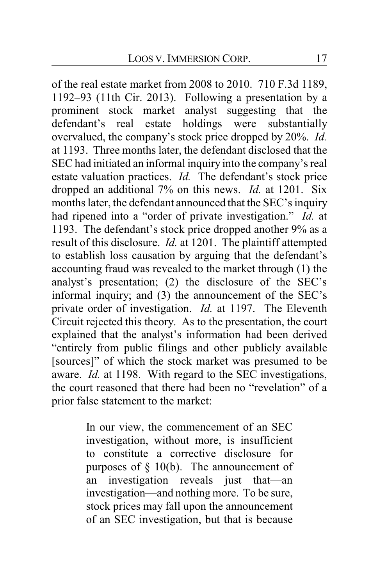of the real estate market from 2008 to 2010. 710 F.3d 1189, 1192–93 (11th Cir. 2013). Following a presentation by a prominent stock market analyst suggesting that the defendant's real estate holdings were substantially overvalued, the company's stock price dropped by 20%. *Id.* at 1193. Three months later, the defendant disclosed that the SEC had initiated an informal inquiry into the company's real estate valuation practices. *Id.* The defendant's stock price dropped an additional 7% on this news. *Id.* at 1201. Six months later, the defendant announced that the SEC's inquiry had ripened into a "order of private investigation." *Id.* at 1193. The defendant's stock price dropped another 9% as a result of this disclosure. *Id.* at 1201. The plaintiff attempted to establish loss causation by arguing that the defendant's accounting fraud was revealed to the market through (1) the analyst's presentation; (2) the disclosure of the SEC's informal inquiry; and (3) the announcement of the SEC's private order of investigation. *Id.* at 1197. The Eleventh Circuit rejected this theory. As to the presentation, the court explained that the analyst's information had been derived "entirely from public filings and other publicly available [sources]" of which the stock market was presumed to be aware. *Id.* at 1198. With regard to the SEC investigations, the court reasoned that there had been no "revelation" of a prior false statement to the market:

> In our view, the commencement of an SEC investigation, without more, is insufficient to constitute a corrective disclosure for purposes of  $\S$  10(b). The announcement of an investigation reveals just that—an investigation—and nothing more. To be sure, stock prices may fall upon the announcement of an SEC investigation, but that is because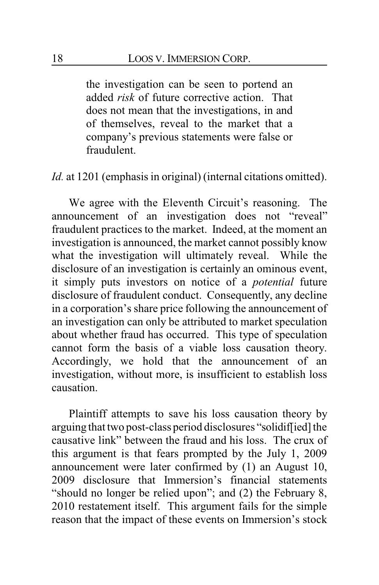the investigation can be seen to portend an added *risk* of future corrective action. That does not mean that the investigations, in and of themselves, reveal to the market that a company's previous statements were false or fraudulent.

*Id.* at 1201 (emphasis in original) (internal citations omitted).

We agree with the Eleventh Circuit's reasoning. The announcement of an investigation does not "reveal" fraudulent practices to the market. Indeed, at the moment an investigation is announced, the market cannot possibly know what the investigation will ultimately reveal. While the disclosure of an investigation is certainly an ominous event, it simply puts investors on notice of a *potential* future disclosure of fraudulent conduct. Consequently, any decline in a corporation's share price following the announcement of an investigation can only be attributed to market speculation about whether fraud has occurred. This type of speculation cannot form the basis of a viable loss causation theory. Accordingly, we hold that the announcement of an investigation, without more, is insufficient to establish loss causation.

Plaintiff attempts to save his loss causation theory by arguing that two post-class period disclosures "solidif[ied] the causative link" between the fraud and his loss. The crux of this argument is that fears prompted by the July 1, 2009 announcement were later confirmed by (1) an August 10, 2009 disclosure that Immersion's financial statements "should no longer be relied upon"; and (2) the February 8, 2010 restatement itself. This argument fails for the simple reason that the impact of these events on Immersion's stock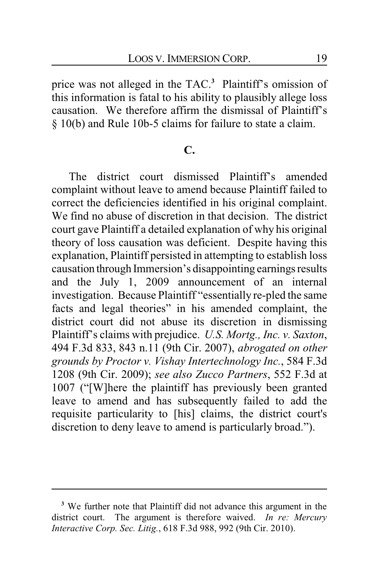price was not alleged in the TAC.**<sup>3</sup>** Plaintiff's omission of this information is fatal to his ability to plausibly allege loss causation. We therefore affirm the dismissal of Plaintiff's § 10(b) and Rule 10b-5 claims for failure to state a claim.

# **C.**

The district court dismissed Plaintiff's amended complaint without leave to amend because Plaintiff failed to correct the deficiencies identified in his original complaint. We find no abuse of discretion in that decision. The district court gave Plaintiff a detailed explanation of why his original theory of loss causation was deficient. Despite having this explanation, Plaintiff persisted in attempting to establish loss causation through Immersion's disappointing earnings results and the July 1, 2009 announcement of an internal investigation. Because Plaintiff "essentially re-pled the same facts and legal theories" in his amended complaint, the district court did not abuse its discretion in dismissing Plaintiff's claims with prejudice. *U.S. Mortg., Inc. v. Saxton*, 494 F.3d 833, 843 n.11 (9th Cir. 2007), *abrogated on other grounds by Proctor v. Vishay Intertechnology Inc.*, 584 F.3d 1208 (9th Cir. 2009); *see also Zucco Partners*, 552 F.3d at 1007 ("[W]here the plaintiff has previously been granted leave to amend and has subsequently failed to add the requisite particularity to [his] claims, the district court's discretion to deny leave to amend is particularly broad.").

**<sup>3</sup>** We further note that Plaintiff did not advance this argument in the district court. The argument is therefore waived. *In re: Mercury Interactive Corp. Sec. Litig.*, 618 F.3d 988, 992 (9th Cir. 2010).